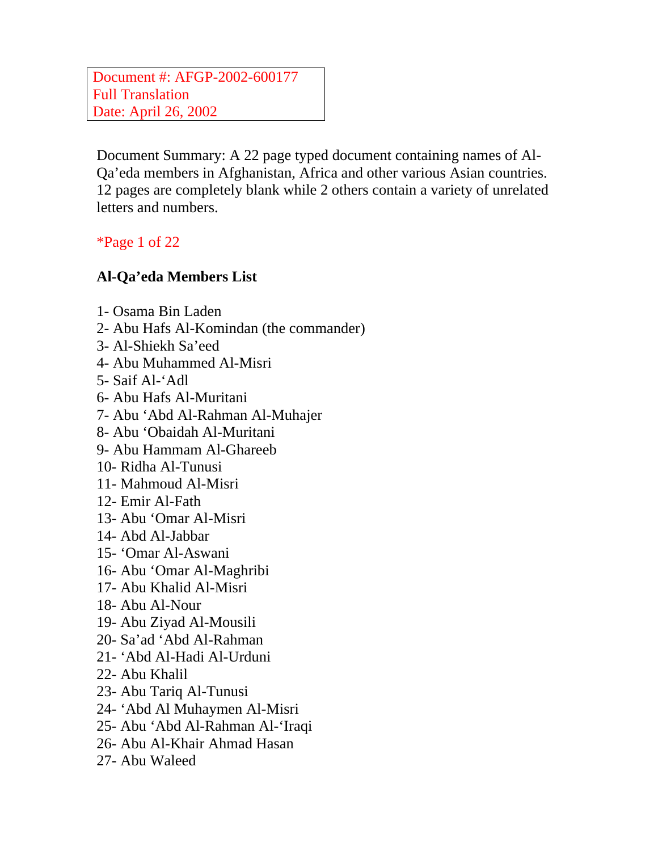Document Summary: A 22 page typed document containing names of Al-Qa'eda members in Afghanistan, Africa and other various Asian countries. 12 pages are completely blank while 2 others contain a variety of unrelated letters and numbers.

# \*Page 1 of 22

# **Al-Qa'eda Members List**

- 1- Osama Bin Laden
- 2- Abu Hafs Al-Komindan (the commander)
- 3- Al-Shiekh Sa'eed
- 4- Abu Muhammed Al-Misri
- 5- Saif Al-'Adl
- 6- Abu Hafs Al-Muritani
- 7- Abu 'Abd Al-Rahman Al-Muhajer
- 8- Abu 'Obaidah Al-Muritani
- 9- Abu Hammam Al-Ghareeb
- 10- Ridha Al-Tunusi
- 11- Mahmoud Al-Misri
- 12- Emir Al-Fath
- 13- Abu 'Omar Al-Misri
- 14- Abd Al-Jabbar
- 15- 'Omar Al-Aswani
- 16- Abu 'Omar Al-Maghribi
- 17- Abu Khalid Al-Misri
- 18- Abu Al-Nour
- 19- Abu Ziyad Al-Mousili
- 20- Sa'ad 'Abd Al-Rahman
- 21- 'Abd Al-Hadi Al-Urduni
- 22- Abu Khalil
- 23- Abu Tariq Al-Tunusi
- 24- 'Abd Al Muhaymen Al-Misri
- 25- Abu 'Abd Al-Rahman Al-'Iraqi
- 26- Abu Al-Khair Ahmad Hasan
- 27- Abu Waleed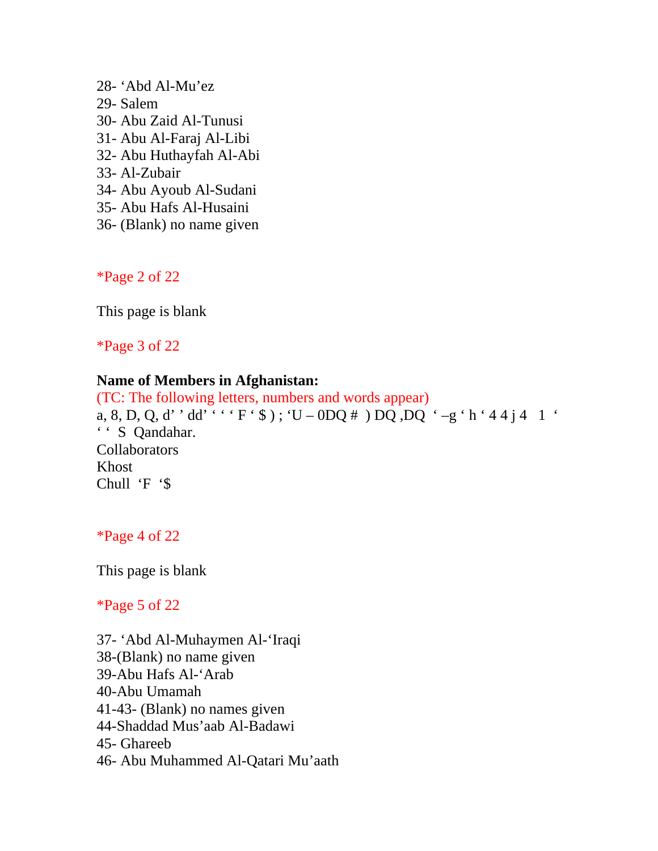- 28- 'Abd Al-Mu'ez 29- Salem 30- Abu Zaid Al-Tunusi 31- Abu Al-Faraj Al-Libi 32- Abu Huthayfah Al-Abi 33- Al-Zubair 34- Abu Ayoub Al-Sudani 35- Abu Hafs Al-Husaini
- 36- (Blank) no name given

\*Page 2 of 22

This page is blank

\*Page 3 of 22

### **Name of Members in Afghanistan:**

(TC: The following letters, numbers and words appear) a, 8, D, Q, d' ' dd' ' ' ' F ' \$ ) ; 'U – 0DQ # ) DQ, DQ  $'$  –g ' h ' 4 4 j 4 1 ' ' ' S Qandahar. **Collaborators** Khost Chull 'F '\$

\*Page 4 of 22

This page is blank

### \*Page 5 of 22

37- 'Abd Al-Muhaymen Al-'Iraqi 38-(Blank) no name given 39-Abu Hafs Al-'Arab 40-Abu Umamah 41-43- (Blank) no names given 44-Shaddad Mus'aab Al-Badawi 45- Ghareeb 46- Abu Muhammed Al-Qatari Mu'aath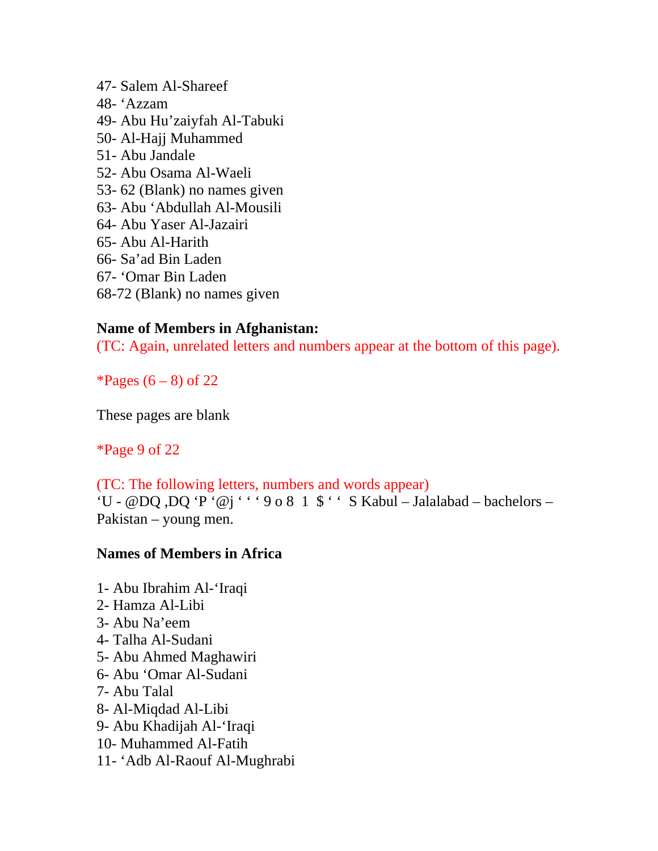- 47- Salem Al-Shareef
- 48- 'Azzam
- 49- Abu Hu'zaiyfah Al-Tabuki
- 50- Al-Hajj Muhammed
- 51- Abu Jandale
- 52- Abu Osama Al-Waeli
- 53- 62 (Blank) no names given
- 63- Abu 'Abdullah Al-Mousili
- 64- Abu Yaser Al-Jazairi
- 65- Abu Al-Harith
- 66- Sa'ad Bin Laden
- 67- 'Omar Bin Laden
- 68-72 (Blank) no names given

# **Name of Members in Afghanistan:**

(TC: Again, unrelated letters and numbers appear at the bottom of this page).

\*Pages  $(6 - 8)$  of 22

These pages are blank

\*Page 9 of 22

(TC: The following letters, numbers and words appear) 'U - @DQ,DQ 'P '@j ' ' ' 9 o 8 1  $\frac{1}{2}$  ' S Kabul – Jalalabad – bachelors – Pakistan – young men.

# **Names of Members in Africa**

1- Abu Ibrahim Al-'Iraqi 2- Hamza Al-Libi 3- Abu Na'eem 4- Talha Al-Sudani 5- Abu Ahmed Maghawiri 6- Abu 'Omar Al-Sudani 7- Abu Talal 8- Al-Miqdad Al-Libi 9- Abu Khadijah Al-'Iraqi 10- Muhammed Al-Fatih 11- 'Adb Al-Raouf Al-Mughrabi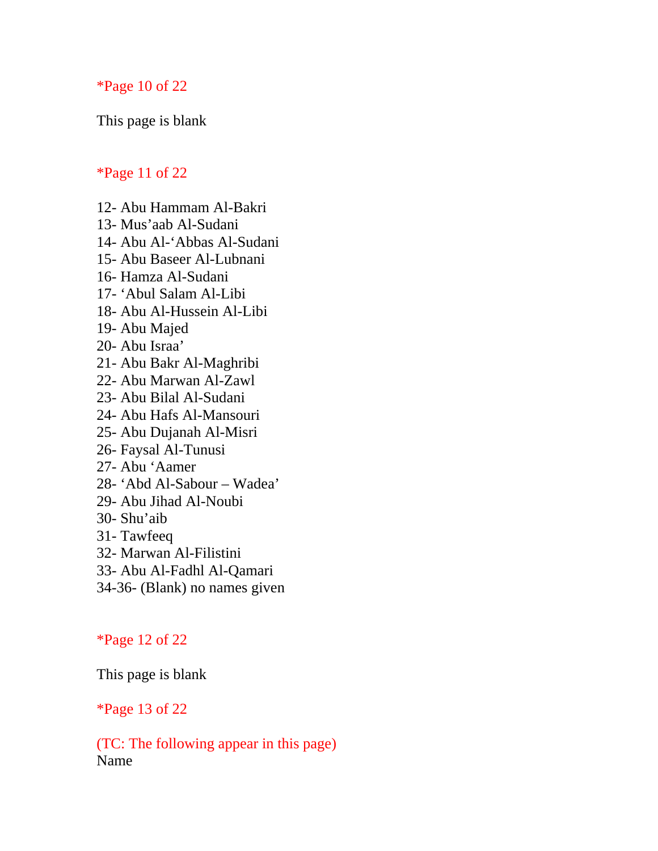### \*Page 10 of 22

This page is blank

## \*Page 11 of 22

- 12- Abu Hammam Al-Bakri
- 13- Mus'aab Al-Sudani
- 14- Abu Al-'Abbas Al-Sudani
- 15- Abu Baseer Al-Lubnani
- 16- Hamza Al-Sudani
- 17- 'Abul Salam Al-Libi
- 18- Abu Al-Hussein Al-Libi
- 19- Abu Majed
- 20- Abu Israa'
- 21- Abu Bakr Al-Maghribi
- 22- Abu Marwan Al-Zawl
- 23- Abu Bilal Al-Sudani
- 24- Abu Hafs Al-Mansouri
- 25- Abu Dujanah Al-Misri
- 26- Faysal Al-Tunusi
- 27- Abu 'Aamer
- 28- 'Abd Al-Sabour Wadea'
- 29- Abu Jihad Al-Noubi
- 30- Shu'aib
- 31- Tawfeeq
- 32- Marwan Al-Filistini
- 33- Abu Al-Fadhl Al-Qamari
- 34-36- (Blank) no names given

### \*Page 12 of 22

This page is blank

### \*Page 13 of 22

(TC: The following appear in this page) Name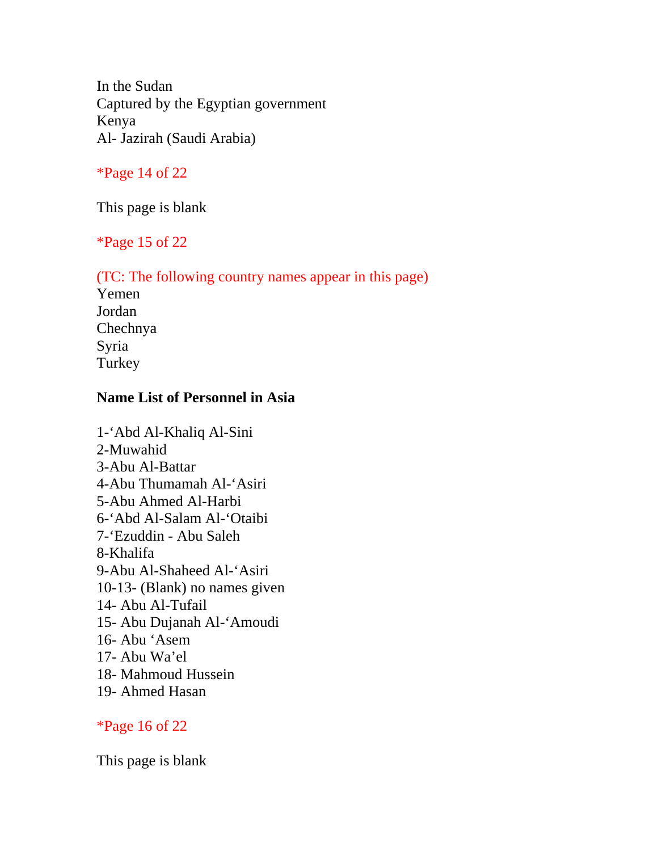In the Sudan Captured by the Egyptian government Kenya Al- Jazirah (Saudi Arabia)

# \*Page 14 of 22

This page is blank

### \*Page 15 of 22

(TC: The following country names appear in this page) Yemen Jordan Chechnya Syria Turkey

# **Name List of Personnel in Asia**

1-'Abd Al-Khaliq Al-Sini 2-Muwahid 3-Abu Al-Battar 4-Abu Thumamah Al-'Asiri 5-Abu Ahmed Al-Harbi 6-'Abd Al-Salam Al-'Otaibi 7-'Ezuddin - Abu Saleh 8-Khalifa 9-Abu Al-Shaheed Al-'Asiri 10-13- (Blank) no names given 14- Abu Al-Tufail 15- Abu Dujanah Al-'Amoudi 16- Abu 'Asem 17- Abu Wa'el 18- Mahmoud Hussein 19- Ahmed Hasan

# \*Page 16 of 22

This page is blank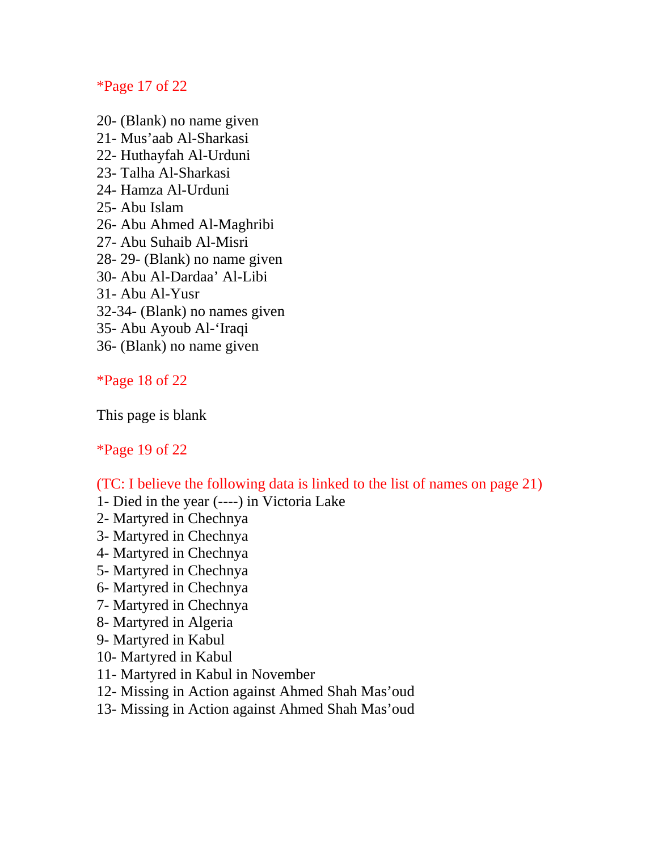### \*Page 17 of 22

- 20- (Blank) no name given
- 21- Mus'aab Al-Sharkasi
- 22- Huthayfah Al-Urduni
- 23- Talha Al-Sharkasi
- 24- Hamza Al-Urduni
- 25- Abu Islam
- 26- Abu Ahmed Al-Maghribi
- 27- Abu Suhaib Al-Misri
- 28- 29- (Blank) no name given
- 30- Abu Al-Dardaa' Al-Libi
- 31- Abu Al-Yusr
- 32-34- (Blank) no names given
- 35- Abu Ayoub Al-'Iraqi
- 36- (Blank) no name given

\*Page 18 of 22

This page is blank

# \*Page 19 of 22

(TC: I believe the following data is linked to the list of names on page 21)

- 1- Died in the year (----) in Victoria Lake
- 2- Martyred in Chechnya
- 3- Martyred in Chechnya
- 4- Martyred in Chechnya
- 5- Martyred in Chechnya
- 6- Martyred in Chechnya
- 7- Martyred in Chechnya
- 8- Martyred in Algeria
- 9- Martyred in Kabul
- 10- Martyred in Kabul
- 11- Martyred in Kabul in November
- 12- Missing in Action against Ahmed Shah Mas'oud
- 13- Missing in Action against Ahmed Shah Mas'oud